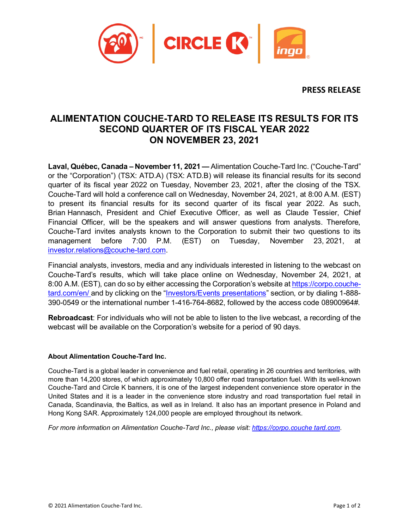

**PRESS RELEASE**

## **ALIMENTATION COUCHE-TARD TO RELEASE ITS RESULTS FOR ITS SECOND QUARTER OF ITS FISCAL YEAR 2022 ON NOVEMBER 23, 2021**

**Laval, Québec, Canada – November 11, 2021 —** Alimentation Couche-Tard Inc. ("Couche-Tard" or the "Corporation") (TSX: ATD.A) (TSX: ATD.B) will release its financial results for its second quarter of its fiscal year 2022 on Tuesday, November 23, 2021, after the closing of the TSX. Couche-Tard will hold a conference call on Wednesday, November 24, 2021, at 8:00 A.M. (EST) to present its financial results for its second quarter of its fiscal year 2022. As such, Brian Hannasch, President and Chief Executive Officer, as well as Claude Tessier, Chief Financial Officer, will be the speakers and will answer questions from analysts. Therefore, Couche-Tard invites analysts known to the Corporation to submit their two questions to its management before 7:00 P.M. (EST) on Tuesday, November 23, 2021, at [investor.relations@couche-tard.com.](mailto:investor.relations@couche-tard.com)

Financial analysts, investors, media and any individuals interested in listening to the webcast on Couche-Tard's results, which will take place online on Wednesday, November 24, 2021, at 8:00 A.M. (EST), can do so by either accessing the Corporation's website a[t https://corpo.couche](https://corpo.couche-tard.com/en/)[tard.com/en/](https://corpo.couche-tard.com/en/) and by clicking on the ["Investors/Events](https://corpo.couche-tard.com/en/investors/events-presentations/) presentations" section, or by dialing 1-888- 390-0549 or the international number 1-416-764-8682, followed by the access code 08900964#.

**Rebroadcast**: For individuals who will not be able to listen to the live webcast, a recording of the webcast will be available on the Corporation's website for a period of 90 days.

## **About Alimentation Couche-Tard Inc.**

Couche-Tard is a global leader in convenience and fuel retail, operating in 26 countries and territories, with more than 14,200 stores, of which approximately 10,800 offer road transportation fuel. With its well-known Couche-Tard and Circle K banners, it is one of the largest independent convenience store operator in the United States and it is a leader in the convenience store industry and road transportation fuel retail in Canada, Scandinavia, the Baltics, as well as in Ireland. It also has an important presence in Poland and Hong Kong SAR. Approximately 124,000 people are employed throughout its network.

*For more information on Alimentation Couche-Tard Inc., please visit: [https://corpo.couche tard.com](https://corpo.couche-tard.com/)*.